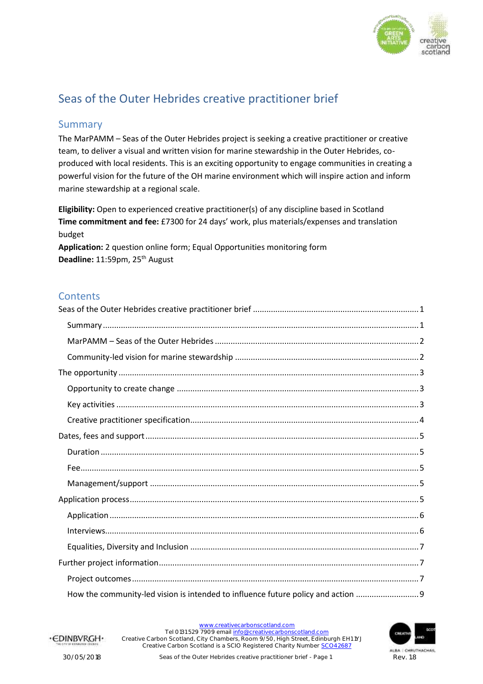

# <span id="page-0-0"></span>Seas of the Outer Hebrides creative practitioner brief

#### <span id="page-0-1"></span>Summary

The MarPAMM – Seas of the Outer Hebrides project is seeking a creative practitioner or creative team, to deliver a visual and written vision for marine stewardship in the Outer Hebrides, coproduced with local residents. This is an exciting opportunity to engage communities in creating a powerful vision for the future of the OH marine environment which will inspire action and inform marine stewardship at a regional scale.

**Eligibility:** Open to experienced creative practitioner(s) of any discipline based in Scotland **Time commitment and fee:** £7300 for 24 days' work, plus materials/expenses and translation budget **Application:** 2 question online form; Equal Opportunities monitoring form

Deadline: 11:59pm, 25<sup>th</sup> August

#### **Contents**

| How the community-led vision is intended to influence future policy and action |
|--------------------------------------------------------------------------------|

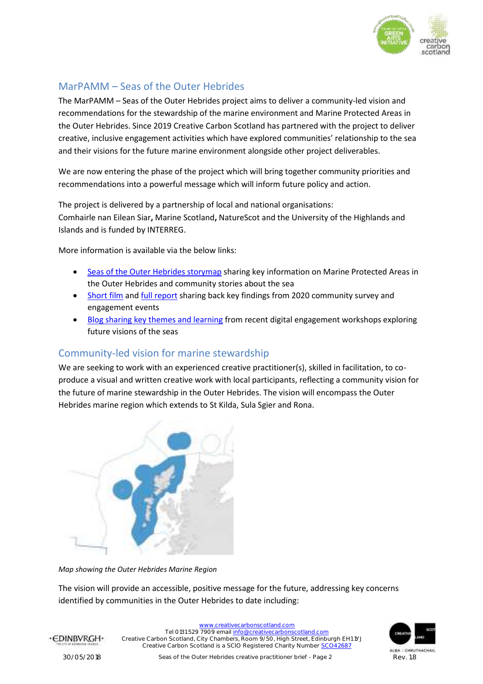

### <span id="page-1-0"></span>MarPAMM – Seas of the Outer Hebrides

The MarPAMM – Seas of the Outer Hebrides project aims to deliver a community-led vision and recommendations for the stewardship of the marine environment and Marine Protected Areas in the Outer Hebrides. Since 2019 Creative Carbon Scotland has partnered with the project to deliver creative, inclusive engagement activities which have explored communities' relationship to the sea and their visions for the future marine environment alongside other project deliverables.

We are now entering the phase of the project which will bring together community priorities and recommendations into a powerful message which will inform future policy and action.

The project is delivered by a partnership of local and national organisations: Comhairle nan Eilean Siar**,** Marine Scotland**,** NatureScot and the University of the Highlands and Islands and is funded by INTERREG.

More information is available via the below links:

- [Seas of the Outer Hebrides storymap](https://storymaps.arcgis.com/stories/c10f5c28962e40888c99f43f232efdfa) sharing key information on Marine Protected Areas in the Outer Hebrides and community stories about the sea
- [Short film](https://www.mpa-management.eu/?p=1177) an[d full report](https://www.mpa-management.eu/wp-content/uploads/2021/02/Report-Evidence-gathering-phase-MarPAMM-SEASOH-FINAL.pdf) sharing back key findings from 2020 community survey and engagement events
- [Blog sharing key themes and learning](https://www.creativecarbonscotland.com/creating-future-visions-for-the-seas-of-the-outer-hebrides/) from recent digital engagement workshops exploring future visions of the seas

#### <span id="page-1-1"></span>Community-led vision for marine stewardship

We are seeking to work with an experienced creative practitioner(s), skilled in facilitation, to coproduce a visual and written creative work with local participants, reflecting a community vision for the future of marine stewardship in the Outer Hebrides. The vision will encompass the Outer Hebrides marine region which extends to St Kilda, Sula Sgier and Rona.



*Map showing the Outer Hebrides Marine Region*

The vision will provide an accessible, positive message for the future, addressing key concerns identified by communities in the Outer Hebrides to date including:



[www.creativecarbonscotland.com](http://www.creativecarbonscotland.com/) Tel 0131 529 7909 emai[l info@creativecarbonscotland.com](mailto:info@creativecarbonscotland.com) Creative Carbon Scotland, City Chambers, Room 9/50, High Street, Edinburgh EH1 1YJ Creative Carbon Scotland is a SCIO Registered Charity Number [SCO42687](https://www.oscr.org.uk/about-charities/search-the-register/charity-details?number=SC042687#results)

·CDINBVRGH·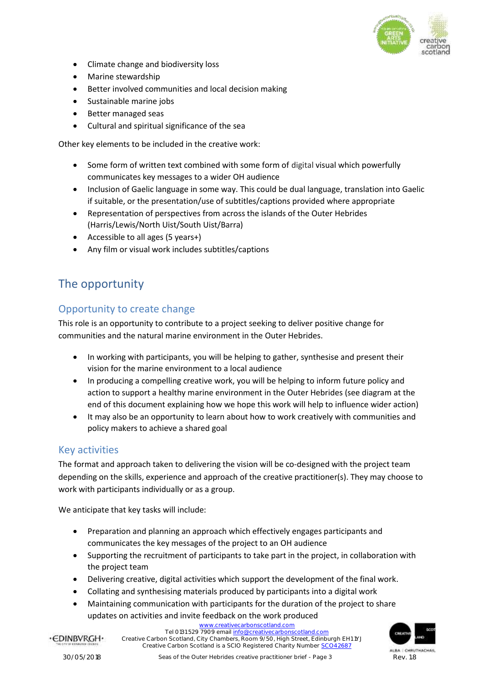

- Climate change and biodiversity loss
- Marine stewardship
- Better involved communities and local decision making
- Sustainable marine jobs
- Better managed seas
- Cultural and spiritual significance of the sea

Other key elements to be included in the creative work:

- Some form of written text combined with some form of digital visual which powerfully communicates key messages to a wider OH audience
- Inclusion of Gaelic language in some way. This could be dual language, translation into Gaelic if suitable, or the presentation/use of subtitles/captions provided where appropriate
- Representation of perspectives from across the islands of the Outer Hebrides (Harris/Lewis/North Uist/South Uist/Barra)
- Accessible to all ages (5 years+)
- Any film or visual work includes subtitles/captions

## <span id="page-2-0"></span>The opportunity

#### <span id="page-2-1"></span>Opportunity to create change

This role is an opportunity to contribute to a project seeking to deliver positive change for communities and the natural marine environment in the Outer Hebrides.

- In working with participants, you will be helping to gather, synthesise and present their vision for the marine environment to a local audience
- In producing a compelling creative work, you will be helping to inform future policy and action to support a healthy marine environment in the Outer Hebrides (see diagram at the end of this document explaining how we hope this work will help to influence wider action)
- It may also be an opportunity to learn about how to work creatively with communities and policy makers to achieve a shared goal

#### <span id="page-2-2"></span>Key activities

The format and approach taken to delivering the vision will be co-designed with the project team depending on the skills, experience and approach of the creative practitioner(s). They may choose to work with participants individually or as a group.

We anticipate that key tasks will include:

- Preparation and planning an approach which effectively engages participants and communicates the key messages of the project to an OH audience
- Supporting the recruitment of participants to take part in the project, in collaboration with the project team
- Delivering creative, digital activities which support the development of the final work.
- Collating and synthesising materials produced by participants into a digital work
- Maintaining communication with participants for the duration of the project to share updates on activities and invite feedback on the work produced

[www.creativecarbonscotland.com](http://www.creativecarbonscotland.com/)

Tel 0131 529 7909 emai[l info@creativecarbonscotland.com](mailto:info@creativecarbonscotland.com) Creative Carbon Scotland, City Chambers, Room 9/50, High Street, Edinburgh EH1 1YJ Creative Carbon Scotland is a SCIO Registered Charity Number [SCO42687](https://www.oscr.org.uk/about-charities/search-the-register/charity-details?number=SC042687#results)



·CDINBVRGH·

30/05/2018 Seas of the Outer Hebrides creative practitioner brief - Page 3 Rev. 1.8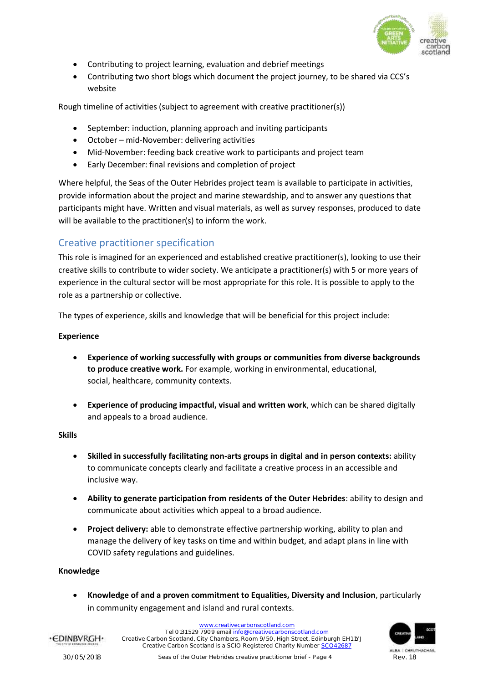

- Contributing to project learning, evaluation and debrief meetings
- Contributing two short blogs which document the project journey, to be shared via CCS's website

Rough timeline of activities (subject to agreement with creative practitioner(s))

- September: induction, planning approach and inviting participants
- October mid-November: delivering activities
- Mid-November: feeding back creative work to participants and project team
- Early December: final revisions and completion of project

Where helpful, the Seas of the Outer Hebrides project team is available to participate in activities, provide information about the project and marine stewardship, and to answer any questions that participants might have. Written and visual materials, as well as survey responses, produced to date will be available to the practitioner(s) to inform the work.

#### <span id="page-3-0"></span>Creative practitioner specification

This role is imagined for an experienced and established creative practitioner(s), looking to use their creative skills to contribute to wider society. We anticipate a practitioner(s) with 5 or more years of experience in the cultural sector will be most appropriate for this role. It is possible to apply to the role as a partnership or collective.

The types of experience, skills and knowledge that will be beneficial for this project include: 

#### **Experience**

- **Experience of working successfully with groups or communities from diverse backgrounds to produce creative work.** For example, working in environmental, educational, social, healthcare, community contexts.
- **Experience of producing impactful, visual and written work**, which can be shared digitally and appeals to a broad audience.

#### **Skills**

- **Skilled in successfully facilitating non-arts groups in digital and in person contexts:** ability to communicate concepts clearly and facilitate a creative process in an accessible and inclusive way.
- **Ability to generate participation from residents of the Outer Hebrides**: ability to design and communicate about activities which appeal to a broad audience.
- **Project delivery:** able to demonstrate effective partnership working, ability to plan and manage the delivery of key tasks on time and within budget, and adapt plans in line with COVID safety regulations and guidelines.

#### **Knowledge**

• **Knowledge of and a proven commitment to Equalities, Diversity and Inclusion**, particularly in community engagement and island and rural contexts.

> [www.creativecarbonscotland.com](http://www.creativecarbonscotland.com/) Tel 0131 529 7909 emai[l info@creativecarbonscotland.com](mailto:info@creativecarbonscotland.com) Creative Carbon Scotland, City Chambers, Room 9/50, High Street, Edinburgh EH1 1YJ Creative Carbon Scotland is a SCIO Registered Charity Number [SCO42687](https://www.oscr.org.uk/about-charities/search-the-register/charity-details?number=SC042687#results)



·CDINBVRGH·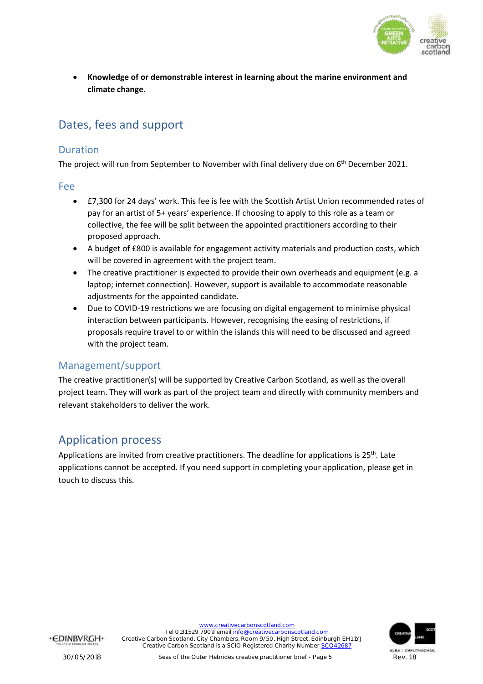

• **Knowledge of or demonstrable interest in learning about the marine environment and climate change**.

# <span id="page-4-0"></span>Dates, fees and support

#### <span id="page-4-1"></span>Duration

The project will run from September to November with final delivery due on 6<sup>th</sup> December 2021.

#### <span id="page-4-2"></span>Fee

- £7,300 for 24 days' work. This fee is fee with the Scottish Artist Union recommended rates of pay for an artist of 5+ years' experience. If choosing to apply to this role as a team or collective, the fee will be split between the appointed practitioners according to their proposed approach.
- A budget of £800 is available for engagement activity materials and production costs, which will be covered in agreement with the project team.
- The creative practitioner is expected to provide their own overheads and equipment (e.g. a laptop; internet connection). However, support is available to accommodate reasonable adjustments for the appointed candidate.
- Due to COVID-19 restrictions we are focusing on digital engagement to minimise physical interaction between participants. However, recognising the easing of restrictions, if proposals require travel to or within the islands this will need to be discussed and agreed with the project team.

### <span id="page-4-3"></span>Management/support

The creative practitioner(s) will be supported by Creative Carbon Scotland, as well as the overall project team. They will work as part of the project team and directly with community members and relevant stakeholders to deliver the work.

## <span id="page-4-4"></span>Application process

Applications are invited from creative practitioners. The deadline for applications is 25<sup>th</sup>. Late applications cannot be accepted. If you need support in completing your application, please get in touch to discuss this.



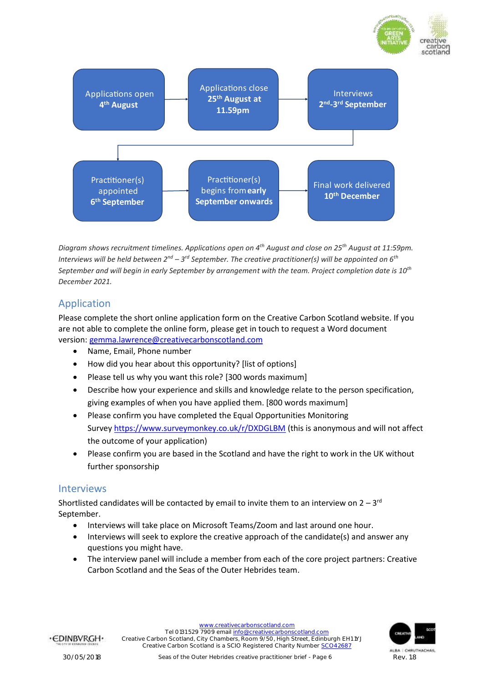

*Diagram shows recruitment timelines. Applications open on 4th August and close on 25th August at 11:59pm.*  Interviews will be held between 2<sup>nd</sup> – 3<sup>rd</sup> September. The creative practitioner(s) will be appointed on 6<sup>th</sup> *September and will begin in early September by arrangement with the team. Project completion date is 10th December 2021.* 

### <span id="page-5-0"></span>Application

Please complete the short online application form on the Creative Carbon Scotland website. If you are not able to complete the online form, please get in touch to request a Word document version: [gemma.lawrence@creativecarbonscotland.com](mailto:gemma.lawrence@creativecarbonscotland.com)

- Name, Email, Phone number
- How did you hear about this opportunity? [list of options]
- Please tell us why you want this role? [300 words maximum]
- Describe how your experience and skills and knowledge relate to the person specification, giving examples of when you have applied them. [800 words maximum]
- Please confirm you have completed the Equal Opportunities Monitoring Survey <https://www.surveymonkey.co.uk/r/DXDGLBM> (this is anonymous and will not affect the outcome of your application)
- Please confirm you are based in the Scotland and have the right to work in the UK without further sponsorship

#### <span id="page-5-1"></span>Interviews

Shortlisted candidates will be contacted by email to invite them to an interview on  $2-3^{rd}$ September.

- Interviews will take place on Microsoft Teams/Zoom and last around one hour.
- Interviews will seek to explore the creative approach of the candidate(s) and answer any questions you might have.
- The interview panel will include a member from each of the core project partners: Creative Carbon Scotland and the Seas of the Outer Hebrides team.



carbor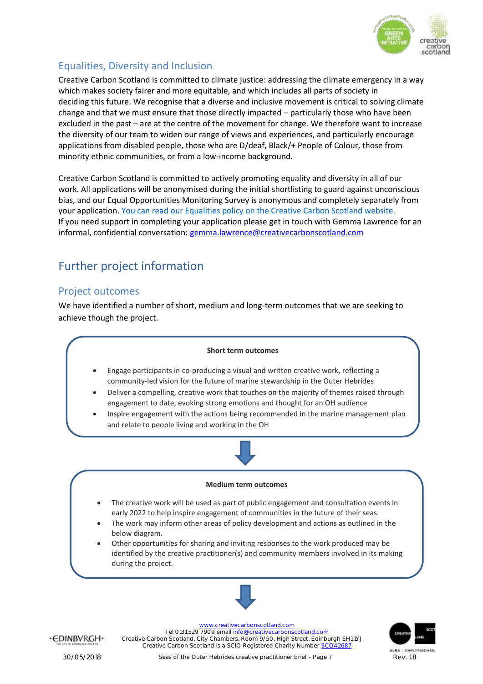

## <span id="page-6-0"></span>Equalities, Diversity and Inclusion

Creative Carbon Scotland is committed to climate justice: addressing the climate emergency in a way which makes society fairer and more equitable, and which includes all parts of society in deciding this future. We recognise that a diverse and inclusive movement is critical to solving climate change and that we must ensure that those directly impacted – particularly those who have been excluded in the past – are at the centre of the movement for change. We therefore want to increase the diversity of our team to widen our range of views and experiences, and particularly encourage applications from disabled people, those who are D/deaf, Black/+ People of Colour, those from minority ethnic communities, or from a low-income background.

Creative Carbon Scotland is committed to actively promoting equality and diversity in all of our work. All applications will be anonymised during the initial shortlisting to guard against unconscious bias, and our Equal Opportunities Monitoring Survey is anonymous and completely separately from your application. You can read our Equalities policy on [the Creative Carbon Scotland website.](https://www.creativecarbonscotland.com/about/policies-documents/ccs-equalities-policy/) If you need support in completing your application please get in touch with Gemma Lawrence for an informal, confidential conversation: [gemma.lawrence@creativecarbonscotland.com](mailto:gemma.lawrence@creativecarbonscotland.com)

# <span id="page-6-1"></span>Further project information

#### <span id="page-6-2"></span>Project outcomes

We have identified a number of short, medium and long-term outcomes that we are seeking to achieve though the project.



·CDINBVRGH·

[www.creativecarbonscotland.com](http://www.creativecarbonscotland.com/)

Tel 0131 529 7909 emai[l info@creativecarbonscotland.com](mailto:info@creativecarbonscotland.com) Creative Carbon Scotland, City Chambers, Room 9/50, High Street, Edinburgh EH1 1YJ Creative Carbon Scotland is a SCIO Registered Charity Number [SCO42687](https://www.oscr.org.uk/about-charities/search-the-register/charity-details?number=SC042687#results)

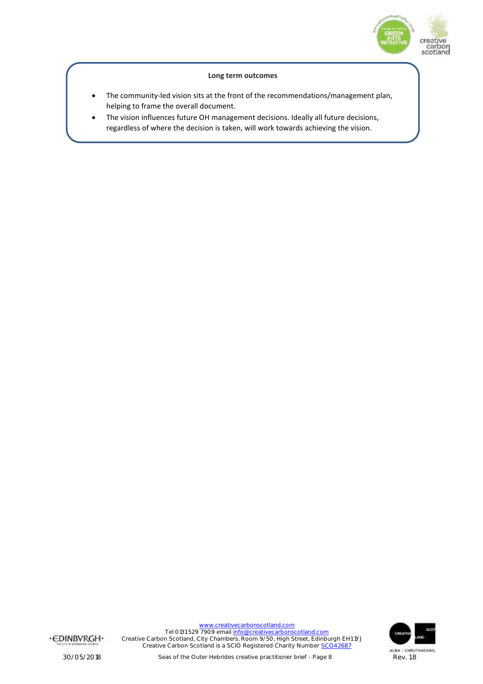

#### **Long term outcomes**

- The community-led vision sits at the front of the recommendations/management plan, helping to frame the overall document.
- The vision influences future OH management decisions. Ideally all future decisions, regardless of where the decision is taken, will work towards achieving the vision.

·CDINBVRGH·

[www.creativecarbonscotland.com](http://www.creativecarbonscotland.com/) Tel 0131 529 7909 emai[l info@creativecarbonscotland.com](mailto:info@creativecarbonscotland.com) Creative Carbon Scotland, City Chambers, Room 9/50, High Street, Edinburgh EH1 1YJ Creative Carbon Scotland is a SCIO Registered Charity Number [SCO42687](https://www.oscr.org.uk/about-charities/search-the-register/charity-details?number=SC042687#results)